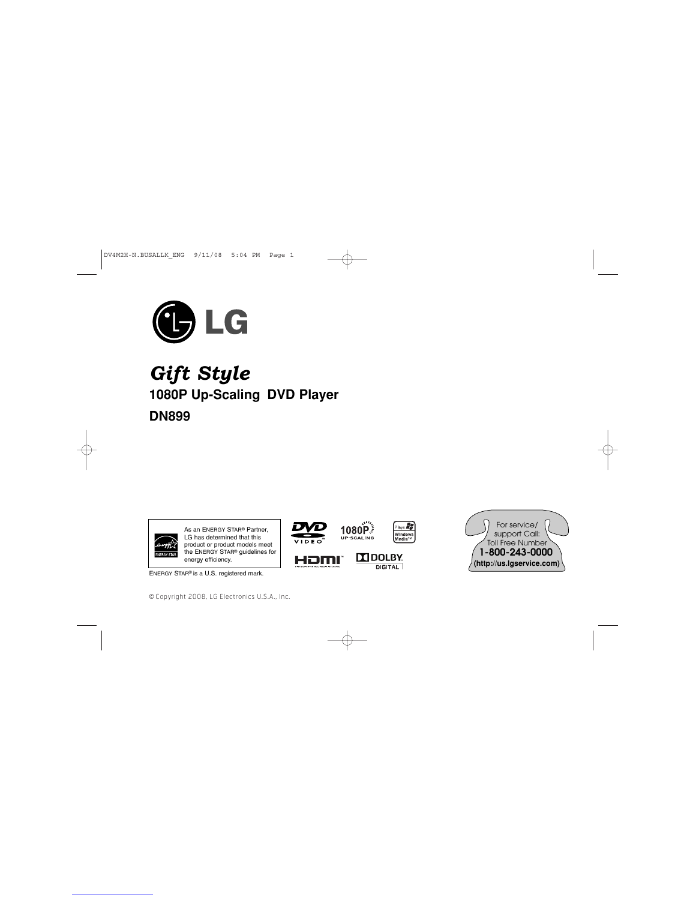

*Gift Style* **1080P Up-Scaling DVD Player DN899**



ENERGY STAR® is a U.S. registered mark.

© Copyright 2008, LG Electronics U.S.A., Inc.



HDMI

 $\oplus$ 

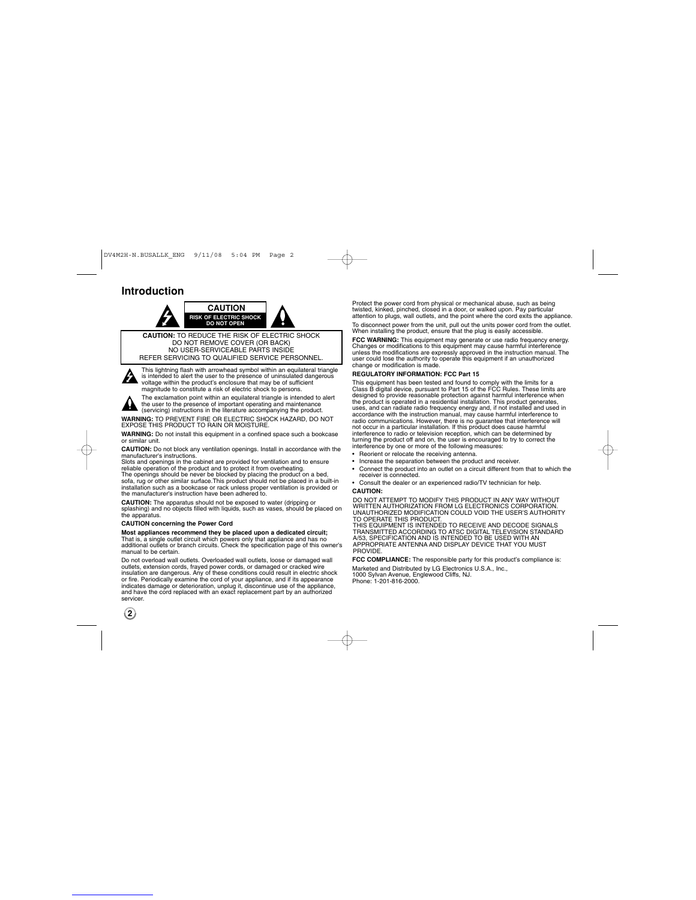### **Introduction**



REFER SERVICING TO QUALIFIED SERVICE PERSONNEL.

This lightning flash with arrowhead symbol within an equilateral triangle<br>is intended to alert the user to the presence of uninsulated dangerous<br>voltage within the product's enclosure that may be of sufficient<br>magnitude to A

The exclamation point within an equilateral triangle is intended to alert the user to the presence of important operating and maintenance (servicing) instructions in the literature accompanying the product.

**WARNING:** TO PREVENT FIRE OR ELECTRIC SHOCK HAZARD, DO NOT EXPOSE THIS PRODUCT TO RAIN OR MOISTURE. **WARNING:** Do not install this equipment in a confined space such a bookcase

or similar unit.

**CAUTION:** Do not block any ventilation openings. Install in accordance with the manufacturer's instructions.<br>Slots and openings in the cabinet are provided for ventilation and to ensure reliable operation of the product a

**CAUTION:** The apparatus should not be exposed to water (dripping or

splashing) and no objects filled with liquids, such as vases, should be placed on the apparatus.

### **CAUTION concerning the Power Cord**

Most appliances recommend they be placed upon a dedicated circuit;<br>That is, a single outlet circuit which powers only that appliance and has no<br>additional outlets or branch circuits. Check the specification page of this ow

Do not overload wall outlets. Overloaded wall outlets, loose or damaged wall outlets, extension cords, frayed power cords, or damaged or cracked wire<br>insulation are dangerous. Any of these conditions could result in electric shock<br>or fire. Periodically examine the cord of your appliance, and if its and have the cord replaced with an exact replacement part by an authorized servicer.

Protect the power cord from physical or mechanical abuse, such as being twisted, kinked, pinched, closed in a door, or walked upon. Pay particular attention to plugs, wall outlets, and the point where the cord exits the appliance. To disconnect power from the unit, pull out the units power cord from the outlet. When installing the product, ensure that the plug is easily accessible.

**FCC WARNING:** This equipment may generate or use radio frequency energy.<br>Changes or modifications to this equipment may cause harmful interference<br>unless the modifications are expressly approved in the instruction manual.

### **REGULATORY INFORMATION: FCC Part 15**

This equipment has been tested and found to comply with the limits for a<br>Class B digital device, pursuant to Part 15 of the FCC Rules. These limits are<br>designed to provide reasonable protection against harmful interference not occur in a particular installation. If this product does cause harmful<br>interference to radio or television reception, which can be determined by<br>turning the product off and on, the user is encouraged to try to correct • Reorient or relocate the receiving antenna.

- Increase the separation between the product and receiver.
- Connect the product into an outlet on a circuit different from that to which the receiver is connected.
- Consult the dealer or an experienced radio/TV technician for help. **CAUTION:**

DO NOT ATTEMPT TO MODIFY THIS PRODUCT IN ANY WAY WITHOUT<br>WRITTEN AUTHORIZATION FROM LG ELECTRONICS CORPORATION.<br>UNAUTHORIZED MODIFICATION COULD VOID THE USER'S AUTHORITY<br>THIS EQUIPMENT IS INTENDED TO RECEIVE AND DECODE SIG

TRANSMITTED ACCORDING TO ATSC DIGITAL TELEVISION STANDARD A/53, SPECIFICATION AND IS INTENDED TO BE USED WITH AN APPROPRIATE ANTENNA AND DISPLAY DEVICE THAT YOU MUST PROVIDE.

**FCC COMPLIANCE:** The responsible party for this product's compliance is: Marketed and Distributed by LG Electronics U.S.A., Inc., 1000 Sylvan Avenue, Englewood Cliffs, NJ. Phone: 1-201-816-2000.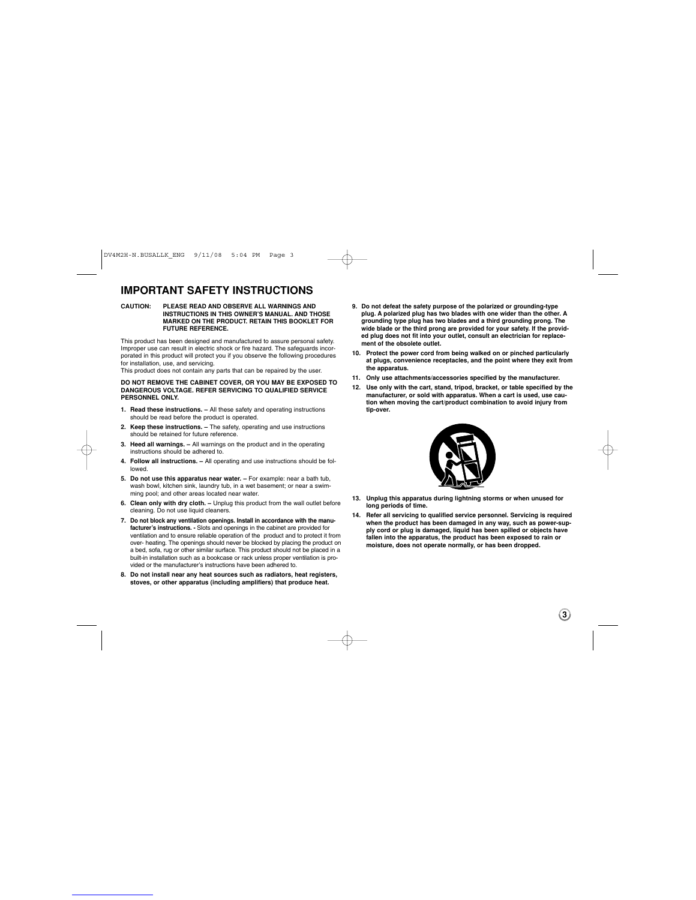### **IMPORTANT SAFETY INSTRUCTIONS**

**CAUTION: PLEASE READ AND OBSERVE ALL WARNINGS AND INSTRUCTIONS IN THIS OWNER'S MANUAL. AND THOSE MARKED ON THE PRODUCT. RETAIN THIS BOOKLET FOR FUTURE REFERENCE.**

This product has been designed and manufactured to assure personal safety. Improper use can result in electric shock or fire hazard. The safeguards incorporated in this product will protect you if you observe the following procedures for installation, use, and servicing. This product does not contain any parts that can be repaired by the user.

**DO NOT REMOVE THE CABINET COVER, OR YOU MAY BE EXPOSED TO DANGEROUS VOLTAGE. REFER SERVICING TO QUALIFIED SERVICE PERSONNEL ONLY.**

- **1. Read these instructions.** All these safety and operating instructions should be read before the product is operated.
- **2. Keep these instructions.** The safety, operating and use instructions should be retained for future reference.
- **3. Heed all warnings.** All warnings on the product and in the operating instructions should be adhered to.
- **4. Follow all instructions.** All operating and use instructions should be followed.
- **5. Do not use this apparatus near water.** For example: near a bath tub, wash bowl, kitchen sink, laundry tub, in a wet basement; or near a swimming pool; and other areas located near water.
- **6. Clean only with dry cloth.** Unplug this product from the wall outlet before cleaning. Do not use liquid cleaners.
- **7. Do not block any ventilation openings. Install in accordance with the manufacturer's instructions. -** Slots and openings in the cabinet are provided for ventilation and to ensure reliable operation of the product and to protect it from over- heating. The openings should never be blocked by placing the product on a bed, sofa, rug or other similar surface. This product should not be placed in a built-in installation such as a bookcase or rack unless proper ventilation is provided or the manufacturer's instructions have been adhered to.
- **8. Do not install near any heat sources such as radiators, heat registers, stoves, or other apparatus (including amplifiers) that produce heat.**
- **9. Do not defeat the safety purpose of the polarized or grounding-type plug. A polarized plug has two blades with one wider than the other. A grounding type plug has two blades and a third grounding prong. The wide blade or the third prong are provided for your safety. If the provid-ed plug does not fit into your outlet, consult an electrician for replacement of the obsolete outlet.**
- **10. Protect the power cord from being walked on or pinched particularly at plugs, convenience receptacles, and the point where they exit from the apparatus.**
- **11. Only use attachments/accessories specified by the manufacturer.**
- **12. Use only with the cart, stand, tripod, bracket, or table specified by the manufacturer, or sold with apparatus. When a cart is used, use cau-tion when moving the cart/product combination to avoid injury from tip-over.**



- **13. Unplug this apparatus during lightning storms or when unused for long periods of time.**
- **14. Refer all servicing to qualified service personnel. Servicing is required when the product has been damaged in any way, such as power-supply cord or plug is damaged, liquid has been spilled or objects have fallen into the apparatus, the product has been exposed to rain or moisture, does not operate normally, or has been dropped.**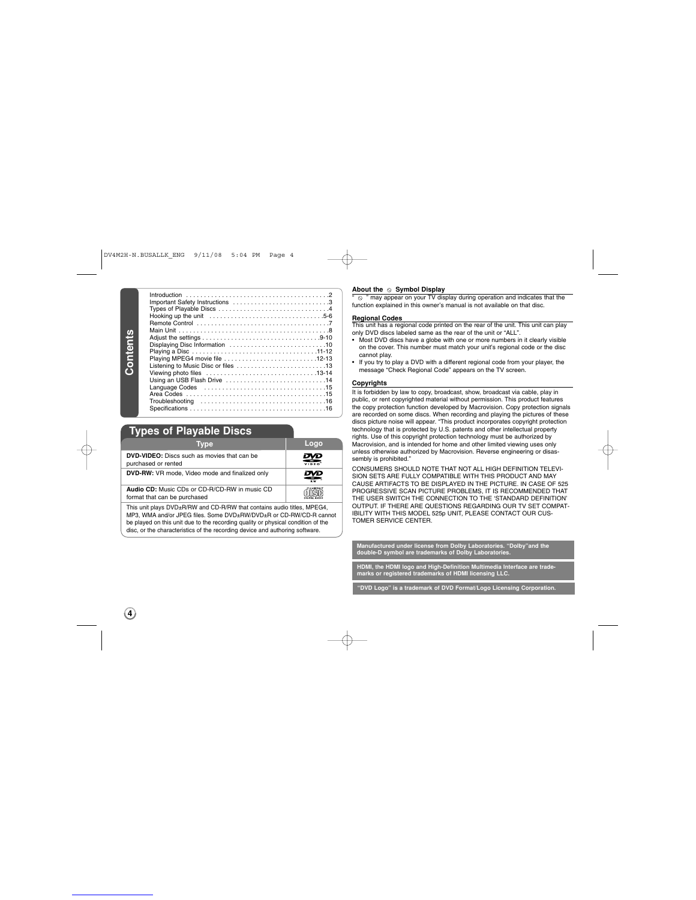Introduction . . . . . . . . . . . . . . . . . . . . . . . . . . . . . . . . . . . . . . . .2 Important Safety Instructions . . . . . . . . . . . . . . . . . . . . . . . . . . .3 Types of Playable Discs . . . . . . . . . . . . . . . . . . . . . . . . . . . . . . .4 Hooking up the unit . . . . . . . . . . . . . . . . . . . . . . . . . . . . . . . .5-6 Remote Control . . . . . . . . . . . . . . . . . . . . . . . . . . . . . . . . . . . . .7 Main Unit . . . . . . . . . . . . . . . . . . . . . . . . . . . . . . . . . . . . . . . . . .8 Contents **Contents** Adjust the settings . . . . . . . . . . . . . . . . . . . . . . . . . . . . . . . . .9-10 Displaying Disc Information . . . . . . . . . . . . . . . . . . . . . . . . . . .10 Playing a Disc . . . . . . . . . . . . . . . . . . . . . . . . . . . . . . . . . . .11-12 Playing MPEG4 movie file . . . . . . . . . . . . . . . . . . . . . . . . . .12-13 Listening to Music Disc or files . . . . . . . . . . . . . . . . . . . . . . . . .13 Viewing photo files . . . . . . . . . . . . . . . . . . . . . . . . . . . . . . .13-14 Using an USB Flash Drive . . . . . . . . . . . . . . . . . . . . . . . . . . . .14 Language Codes . . . . . . . . . . . . . . . . . . . . . . . . . . . . . . . . . .15 Area Codes . . . . . . . . . . . . . . . . . . . . . . . . . . . . . . . . . . . . . . .15 Troubleshooting . . . . . . . . . . . . . . . . . . . . . . . . . . . . . . . . . . .16 Specifications . . . . . . . . . . . . . . . . . . . . . . . . . . . . . . . . . . . . . .16

### **Types of Playable Discs**

| ---                                                                           |                |
|-------------------------------------------------------------------------------|----------------|
| <b>Type</b>                                                                   | Logo           |
| <b>DVD-VIDEO:</b> Discs such as movies that can be<br>purchased or rented     | ₩              |
| DVD-RW: VR mode, Video mode and finalized only                                | R <sub>W</sub> |
| Audio CD: Music CDs or CD-R/CD-RW in music CD<br>format that can be purchased |                |

This unit plays DVD±R/RW and CD-R/RW that contains audio titles, MPEG4, MP3, WMA and/or JPEG files. Some DVD±RW/DVD±R or CD-RW/CD-R cannot be played on this unit due to the recording quality or physical condition of the disc, or the characteristics of the recording device and authoring software.

**About the ⊙ Symbol Display**<br>" ⊙ " may appear on your TV display during operation and indicates that the function explained in this owner's manual is not available on that disc.

### **Regional Codes**

This unit has a regional code printed on the rear of the unit. This unit can play only DVD discs labeled same as the rear of the unit or "ALL".

- Most DVD discs have a globe with one or more numbers in it clearly visible on the cover. This number must match your unit's regional code or the disc cannot play.
- If you try to play a DVD with a different regional code from your player, the message "Check Regional Code" appears on the TV screen.

### **Copyrights**

It is forbidden by law to copy, broadcast, show, broadcast via cable, play in public, or rent copyrighted material without permission. This product features<br>the copy protection function developed by Macrovision. Copy protection signals<br>are recorded on some discs. When recording and playing the pictu discs picture noise will appear. "This product incorporates copyright protection technology that is protected by U.S. patents and other intellectual property rights. Use of this copyright protection technology must be authorized by Macrovision, and is intended for home and other limited viewing uses only unless otherwise authorized by Macrovision. Reverse engineering or disassembly is prohibited."

CONSUMERS SHOULD NOTE THAT NOT ALL HIGH DEFINITION TELEVI-SION SETS ARE FULLY COMPATIBLE WITH THIS PRODUCT AND MAY CAUSE ARTIFACTS TO BE DISPLAYED IN THE PICTURE. IN CASE OF 525 PROGRESSIVE SCAN PICTURE PROBLEMS, IT IS RECOMMENDED THAT THE USER SWITCH THE CONNECTION TO THE 'STANDARD DEFINITION' OUTPUT. IF THERE ARE QUESTIONS REGARDING OUR TV SET COMPAT-IBILITY WITH THIS MODEL 525p UNIT, PLEASE CONTACT OUR CUS-TOMER SERVICE CENTER.

**Manuface: "Dolby"** and the **double-D symbol are trademarks of Dolby Laboratories.** nedia Interface are trade<br>ng LLC. **marks or registered trademarks of HDMI licensing LLC. o" is a trademark of DVD Format/Logo Licensing Co**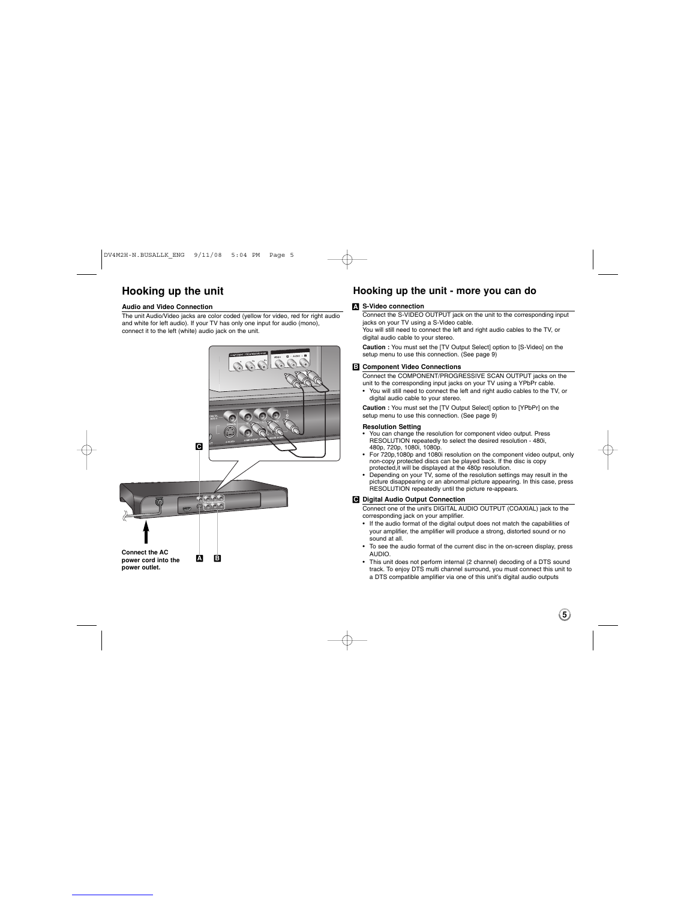## **Hooking up the unit**

### **Audio and Video Connection**

The unit Audio/Video jacks are color coded (yellow for video, red for right audio and white for left audio). If your TV has only one input for audio (mono), connect it to the left (white) audio jack on the unit.



### **Hooking up the unit - more you can do**

### **S-Video connection A**

Connect the S-VIDEO OUTPUT jack on the unit to the corresponding input jacks on your TV using a S-Video cable. You will still need to connect the left and right audio cables to the TV, or

digital audio cable to your stereo.

**Caution :**  You must set the [TV Output Select] option to [S-Video] on the setup menu to use this connection. (See page 9)

#### **Component Video Connections B**

Connect the COMPONENT/PROGRESSIVE SCAN OUTPUT jacks on the<br>unit to the corresponding input jacks on your TV using a YPbPr cable.<br>• You will still need to connect the left and right audio cables to the TV, or digital audio cable to your stereo.

**Caution :**  You must set the [TV Output Select] option to [YPbPr] on the setup menu to use this connection. (See page 9)

- 
- 
- **Resolution Setting**<br> **evaluation Setting Set and Setting CONDING TO SUPPOSE TO THE SCULTION repeatedly to select the desired resolution 480i,<br>
480p, 720p, 1080i, 1080p.<br>
<b>FOR 720p, 1080p** and 1080i resolution on the com

### **Digital Audio Output Connection C**

Connect one of the unit's DIGITAL AUDIO OUTPUT (COAXIAL) jack to the corresponding jack on your amplifier.

- If the audio format of the digital output does not match the capabilities of your amplifier, the amplifier will produce a strong, distorted sound or no sound at all.
- To see the audio format of the current disc in the on-screen display, press AUDIO.
- This unit does not perform internal (2 channel) decoding of a DTS sound track. To enjoy DTS multi channel surround, you must connect this unit to a DTS compatible amplifier via one of this unit's digital audio outputs

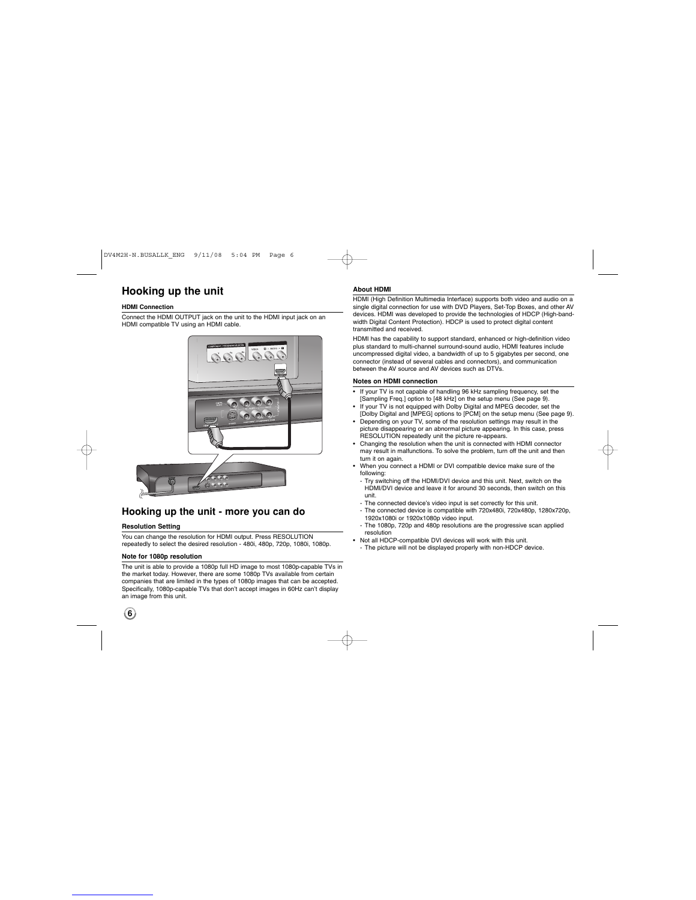## **Hooking up the unit**

### **HDMI Connection**

Connect the HDMI OUTPUT jack on the unit to the HDMI input jack on an HDMI compatible TV using an HDMI cable.



### **Hooking up the unit - more you can do**

### **Resolution Setting**

You can change the resolution for HDMI output. Press RESOLUTION repeatedly to select the desired resolution - 480i, 480p, 720p, 1080i, 1080p.

### **Note for 1080p resolution**

The unit is able to provide a 1080p full HD image to most 1080p-capable TVs in the market today. However, there are some 1080p TVs available from certain companies that are limited in the types of 1080p images that can be accepted. Specifically, 1080p-capable TVs that don't accept images in 60Hz can't display an image from this unit.

## **6**

### **About HDMI**

HDMI (High Definition Multimedia Interface) supports both video and audio on a single digital connection for use with DVD Players, Set-Top Boxes, and other AV devices. HDMI was developed to provide the technologies of HDCP (High-band-width Digital Content Protection). HDCP is used to protect digital content transmitted and received.

HDMI has the capability to support standard, enhanced or high-definition video plus standard to multi-channel surround-sound audio, HDMI features include uncompressed digital video, a bandwidth of up to 5 gigabytes per second, one connector (instead of several cables and connectors), and communication between the AV source and AV devices such as DTVs.

### **Notes on HDMI connection**

- If your TV is not capable of handling 96 kHz sampling frequency, set the [Sampling Freq.] option to [48 kHz] on the setup menu (See page 9).
- If your TV is not equipped with Dolby Digital and MPEG decoder, set the<br>[Dolby Digital and [MPEG] options to [PCM] on the setup menu (See page 9).<br>• Depending on your TV, some of the resolution settings may result in the
- 
- RESOLUTION repeatedly unit the picture re-appears. Changing the resolution when the unit is connected with HDMI connector may result in malfunctions. To solve the problem, turn off the unit and then
- turn it on again. When you connect a HDMI or DVI compatible device make sure of the following:
- Try switching off the HDMI/DVI device and this unit. Next, switch on the HDMI/DVI device and leave it for around 30 seconds, then switch on this unit.
- The connected device's video input is set correctly for this unit. - The connected device is compatible with 720x480i, 720x480p, 1280x720p, 1920x1080i or 1920x1080p video input. - The 1080p, 720p and 480p resolutions are the progressive scan applied
- resolution
- Not all HDCP-compatible DVI devices will work with this unit. - The picture will not be displayed properly with non-HDCP device.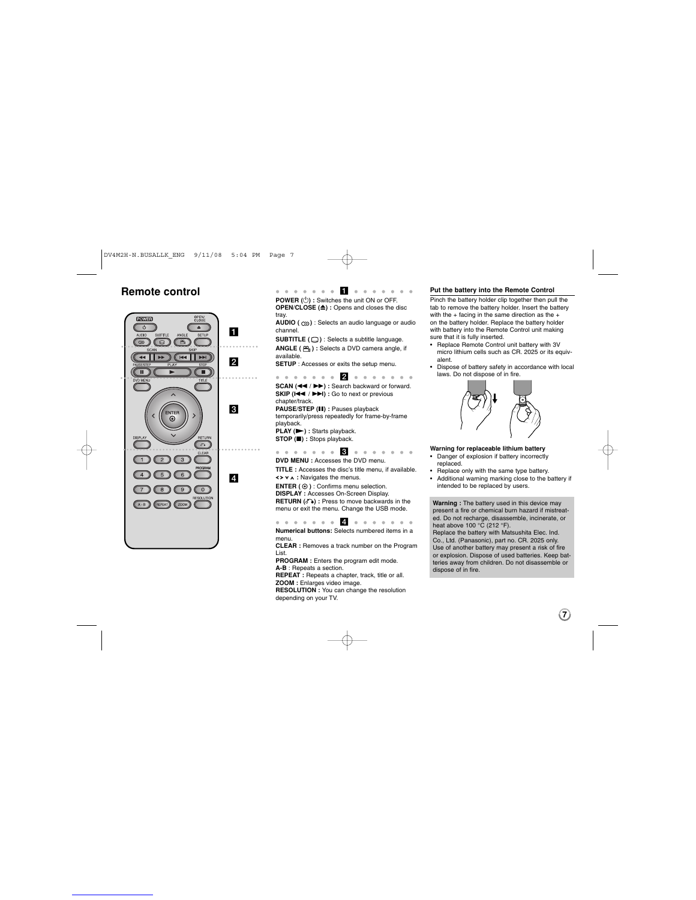

**Remote control and a series of**  $\blacksquare$  **and a series of**  $\blacksquare$ **POWER (** 1**) :** Switches the unit ON or OFF. **OPEN/CLOSE (≜) : Opens and closes the disc** tray.

**AUDIO ( )** : Selects an audio language or audio channel.

**SUBTITLE ( )** : Selects a subtitle language. **ANGLE ( ) :** Selects a DVD camera angle, if

available. **SETUP** : Accesses or exits the setup menu.

 b **SCAN (<< />** /  $\blacktriangleright$ ) : Search backward or forward.<br>**SKIP (I<4 /**  $\blacktriangleright$   $\blacktriangleright$ ) : Go to next or previous chapter/track.

**PAUSE/STEP (** X**) :** Pauses playback temporarily/press repeatedly for frame-by-frame playback. **PLAY (** N**) :** Starts playback.

**STOP (** x**) :** Stops playback.

. . . . . **3** . . . . . . . **DVD MENU** : Accesses the DVD menu.

**TITLE :** Accesses the disc's title menu, if available.  $\left\{\}\mathbf{x} \times \mathbf{v} \right\}$  **:** Navigates the menus.

**ENTER ( )** : Confirms menu selection. **DISPLAY :** Accesses On-Screen Display. **RETURN (3)** : Press to move backwards in the menu or exit the menu. Change the USB mode.

 d **Numerical buttons:** Selects numbered items in a menu.

**CLEAR :** Removes a track number on the Program List.

**PROGRAM :** Enters the program edit mode. **A-B** : Repeats a section. **REPEAT :** Repeats a chapter, track, title or all.

**ZOOM :** Enlarges video image.<br>**RESOLUTION :** You can change the resolution<br>depending on your TV.

### **Put the battery into the Remote Control**

Pinch the battery holder clip together then pull the tab to remove the battery holder. Insert the battery<br>with the + facing in the same direction as the + on the battery holder. Replace the battery holder with battery into the Remote Control unit making sure that it is fully inserted.

• Replace Remote Control unit battery with 3V micro lithium cells such as CR. 2025 or its equivalent.

• Dispose of battery safety in accordance with local laws. Do not dispose of in fire.



**Warning for replaceable lithium battery** • Danger of explosion if battery incorrectly

replaced. • Replace only with the same type battery.

• Additional warning marking close to the battery if intended to be replaced by users.

**Warning :** The battery used in this device may present a fire or chemical burn hazard if mistreat-ed. Do not recharge, disassemble, incinerate, or heat above 100 °C (212 °F).

Replace the battery with Matsushita Elec. Ind. Co., Ltd. (Panasonic), part no. CR. 2025 only. Use of another battery may present a risk of fire or explosion. Dispose of used batteries. Keep batteries away from children. Do not disassemble or dispose of in fire.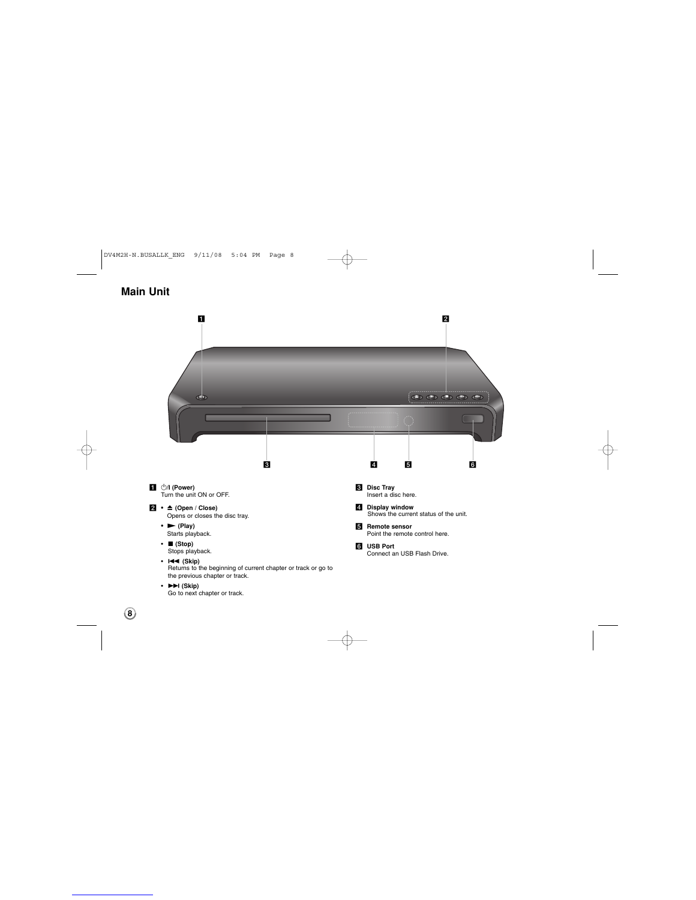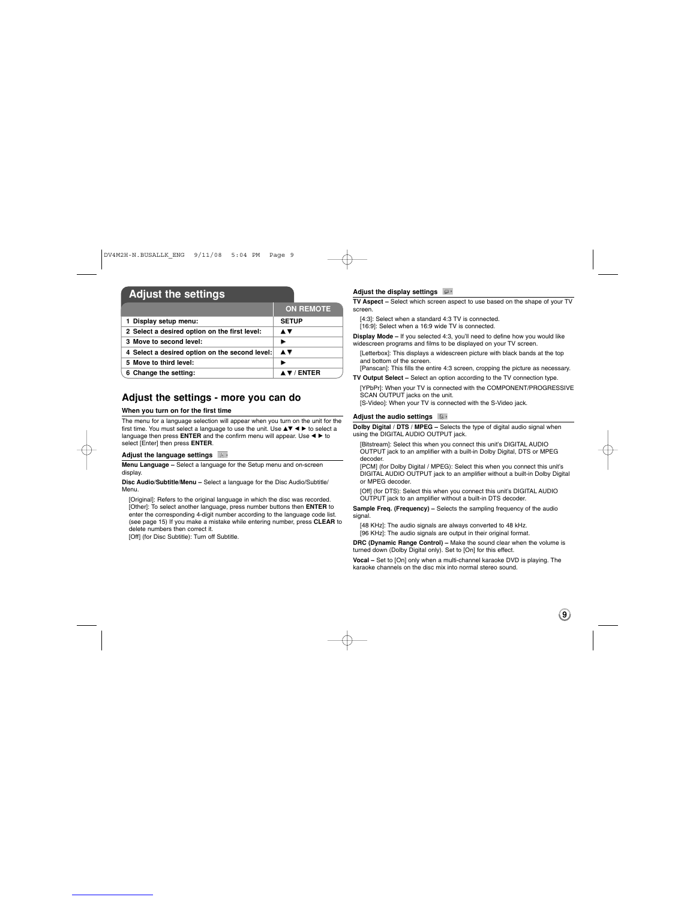## **Adjust the settings**

|                                                | <b>ON REMOTE</b> |
|------------------------------------------------|------------------|
| 1 Display setup menu:                          | <b>SETUP</b>     |
| 2 Select a desired option on the first level:  | A V              |
| 3 Move to second level:                        | ь                |
| 4 Select a desired option on the second level: | A V              |
| 5 Move to third level:                         |                  |
| 6 Change the setting:                          | 7 / FNTFR        |

### **Adjust the settings - more you can do**

### **When you turn on for the first time**

The menu for a language selection will appear when you turn on the unit for the first time. You must select a language to use the unit. Use  $\blacktriangle \blacktriangledown \blacktriangle \blacktriangleright$  to select a language then press **ENTER** and the confirm menu will appear. Use  $\blacktriangle \blacktriangleright$  to select [Enter] then press **ENTER**.

## **Adjust the language settings**

**Menu Language –** Select a language for the Setup menu and on-screen display.

**Disc Audio/Subtitle/Menu –** Select a language for the Disc Audio/Subtitle/ Menu.

[Original]: Refers to the original language in which the disc was recorded.<br>[Other]: To select another language, press number buttons then ENTER to<br>cnter the corresponding 4-digit number according to the language code list delete numbers then correct it.

[Off] (for Disc Subtitle): Turn off Subtitle.

### **Adjust the display settings**

**TV Aspect –** Select which screen aspect to use based on the shape of your TV screen.

[4:3]: Select when a standard 4:3 TV is connected.

[16:9]: Select when a 16:9 wide TV is connected. **Display Mode –** If you selected 4:3, you'll need to define how you would like

widescreen programs and films to be displayed on your TV screen.

[Letterbox]: This displays a widescreen picture with black bands at the top and bottom of the screen.

[Panscan]: This fills the entire 4:3 screen, cropping the picture as necessary. **TV Output Select –** Select an option according to the TV connection type.

[YPbPr]: When your TV is connected with the COMPONENT/PROGRESSIVE SCAN OUTPUT jacks on the unit. [S-Video]: When your TV is connected with the S-Video jack.

### **Adjust the audio settings**

**Dolby Digital / DTS / MPEG –** Selects the type of digital audio signal when using the DIGITAL AUDIO OUTPUT jack.

[Bitstream]: Select this when you connect this unit's DIGITAL AUDIO OUTPUT jack to an amplifier with a built-in Dolby Digital, DTS or MPEG

decoder. [PCM] (for Dolby Digital / MPEG): Select this when you connect this unit's DIGITAL AUDIO OUTPUT jack to an amplifier without a built-in Dolby Digital or MPEG decoder.

[Off] (for DTS): Select this when you connect this unit's DIGITAL AUDIO OUTPUT jack to an amplifier without a built-in DTS decoder.

**Sample Freq. (Frequency) – Selects the sampling frequency of the audio** signal.

[48 KHz]: The audio signals are always converted to 48 kHz.

[96 KHz]: The audio signals are output in their original format.

**DRC (Dynamic Range Control) –** Make the sound clear when the volume is turned down (Dolby Digital only). Set to [On] for this effect.

**Vocal –** Set to [On] only when a multi-channel karaoke DVD is playing. The karaoke channels on the disc mix into normal stereo sound.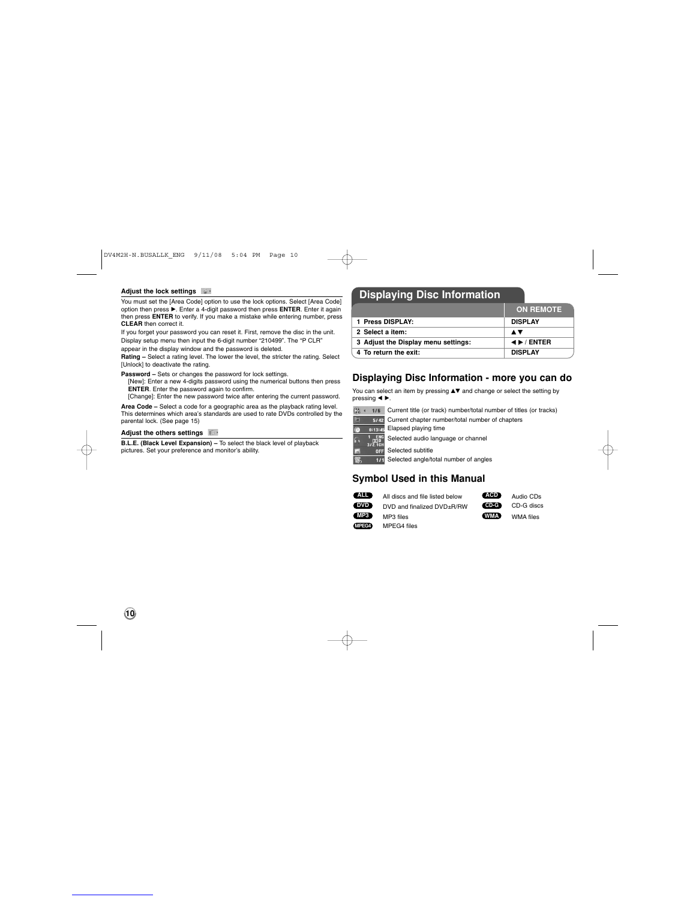

## **Adjust the lock settings**

You must set the [Area Code] option to use the lock options. Select [Area Code]<br>option then press ▶. Enter a 4-digit password then press ENTER. Enter it again<br>then press ENTER to verify. If you make a mistake while enteri

If you forget your password you can reset it. First, remove the disc in the unit. Display setup menu then input the 6-digit number "210499". The "P CLR"

appear in the display window and the password is deleted.

**Rating –** Select a rating level. The lower the level, the stricter the rating. Select<br>[Unlock] to deactivate the rating.

**Password –** Sets or changes the password for lock settings. [New]: Enter a new 4-digits password using the numerical buttons then press<br>**ENTER**. Enter the password again to confirm.<br>[Change]: Enter the new password twice after entering the current password.

**Area Code –** Select a code for a geographic area as the playback rating level. This determines which area's standards are used to rate DVDs controlled by the parental lock. (See page 15)

## **Adjust the others settings**

**B.L.E. (Black Level Expansion) – To select the black level of playback<br>pictures. Set your preference and monitor's ability.** 

## **Displaying Disc Information**

|                                     | <b>ON REMOTE</b>          |
|-------------------------------------|---------------------------|
| 1 Press DISPLAY:                    | <b>DISPLAY</b>            |
| 2 Select a item:                    | A V                       |
| 3 Adjust the Display menu settings: | $\leftrightarrow$ / ENTER |
| 4 To return the exit:               | <b>DISPLAY</b>            |

### **Displaying Disc Information - more you can do**

You can select an item by pressing  $\blacktriangle\blacktriangledown$  and change or select the setting by pressing  $\blacktriangleleft \blacktriangleright$ .

 $\frac{4}{160}$  ( $\frac{1}{16}$  Current title (or track) number/total number of titles (or tracks) **E142** Current chapter number/total number of chapters

**C** 0:13:45 Elapsed playing time Selected audio language or channel 圖 Selected subtitle

翳 171 Selected angle/total number of angles

### **Symbol Used in this Manual**

| $\overline{A}$ | All discs and file listed below | (ACD)    | Audio CDs  |
|----------------|---------------------------------|----------|------------|
| <b>DVD</b>     | DVD and finalized DVD+R/RW      | $(CD-G)$ | CD-G discs |
| (MP3)          | MP3 files                       | (WMA)    | WMA files  |
| MPEG4          | MPEG4 files                     |          |            |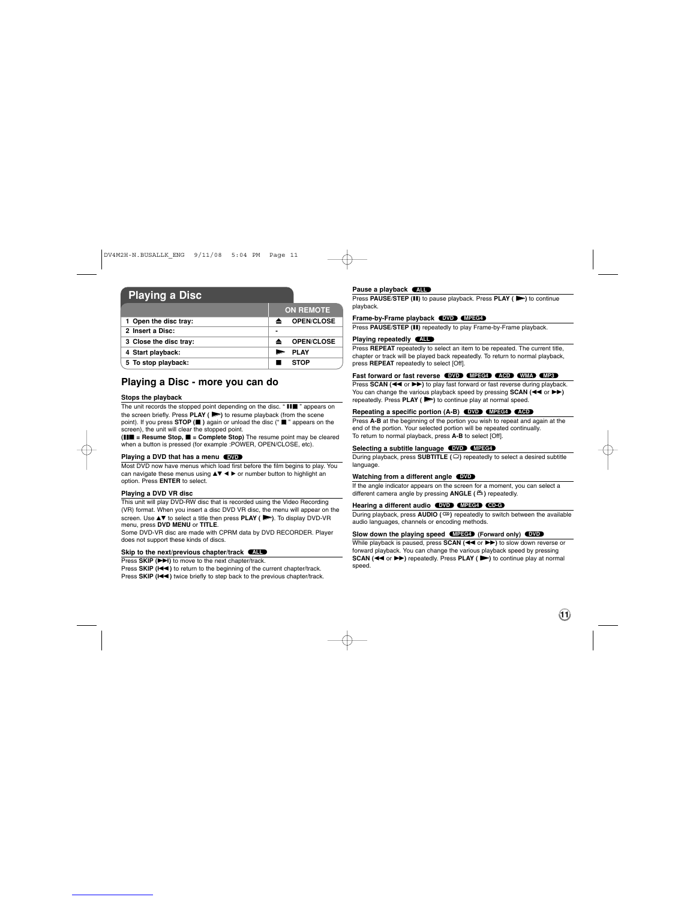### **Playing a Disc**

|                        | <b>ON REMOTE</b>  |  |  |  |
|------------------------|-------------------|--|--|--|
| 1 Open the disc tray:  | <b>OPEN/CLOSE</b> |  |  |  |
| 2 Insert a Disc:       |                   |  |  |  |
| 3 Close the disc tray: | <b>OPEN/CLOSE</b> |  |  |  |
| 4 Start playback:      | <b>PLAY</b>       |  |  |  |
| 5 To stop playback:    | <b>STOP</b>       |  |  |  |

### **Playing a Disc - more you can do**

### **Stops the playback**

The unit records the stopped point depending on the disc. " III " appears on<br>the screen briefly. Press PLAY ( $\blacktriangleright$ ) to resume playback (from the scene point). If you press **STOP** (**iii**) again or unload the disc (" **iii** " appears on the screen), the unit will clear the stopped point.

**(III = Resume Stop, ■ = Complete Stop)** The resume point may be cleared<br>when a button is pressed (for example :POWER, OPEN/CLOSE, etc).

#### **Playing a DVD that has a menu DVD**

Most DVD now have menus which load first before the film begins to play. You can navigate these menus using **AV < ▶** or number button to highlight an option. Press **ENTER** to select.

## **Playing a DVD VR disc**

This unit will play DVD-RW disc that is recorded using the Video Recording (VR) format. When you insert a disc DVD VR disc, the menu will appear on the screen. Use  $\triangle$  **v** to select a title then press **PLAY** ( $\triangleright$ ). To display DVD-VR menu, press **DVD MENU** or **TITLE**.

Some DVD-VR disc are made with CPRM data by DVD RECORDER. Player does not support these kinds of discs.

#### Skip to the next/previous chapter/track **(ALL**

Press **SKIP** ( $\blacktriangleright$ **)** to move to the next chapter/track.

Press **SKIP (** .**)** to return to the beginning of the current chapter/track. Press **SKIP (** .**)** twice briefly to step back to the previous chapter/track.

#### **Pause a playback EXL**

**Press PAUSE/STEP** (II) to pause playback. Press PLAY ( $\blacktriangleright$ ) to continue playback.

### **Frame-by-Frame playback DVD MPEG4**

Press PAUSE/STEP (II) repeatedly to play Frame-by-Frame playback.

**Playing repeatedly**  Press **REPEAT** repeatedly to select an item to be repeated. The current title, **ALL** chapter or track will be played back repeatedly. To return to normal playback, press **REPEAT** repeatedly to select [Off].

#### **Fast forward or fast reverse DVD MPEG4 ACD WMA MP3**

Press **SCAN (<< or >>>>>>>**) to play fast forward or fast reverse during playback. You can change the various playback speed by pressing **SCAN (<< or**  $\blacktriangleright$ **)**<br>repeatedly. Press PLAY ( $\blacktriangleright$ ) to continue play at normal speed.

### **Repeating a specific portion (A-B) DVD MPEG4 ACD**

Press **A-B** at the beginning of the portion you wish to repeat and again at the end of the portion. Your selected portion will be repeated continually. To return to normal playback, press **A-B** to select [Off].

**Selecting a subtitle language DVD MPEG4** During playback, press **SUBTITLE ( )** repeatedly to select a desired subtitle language.

#### **Watching from a different angle DVD**

If the angle indicator appears on the screen for a moment, you can select a different camera angle by pressing **ANGLE ( )** repeatedly.

#### **Hearing a different audio DVD MPEG4 CD-G**

During playback, press **AUDIO ( )** repeatedly to switch between the available audio languages, channels or encoding methods.

#### **Slow down the playing speed (MPEG4)** (Forward only) (DVD

While playback is paused, press **SCAN (<< or >>**) to slow down reverse or **forward playback. You can change the various playback speed by pressing<br><b>SCAN (◀◀ or ▶▶)** repeatedly. Press PLAY ( ▶) to continue play at normal speed.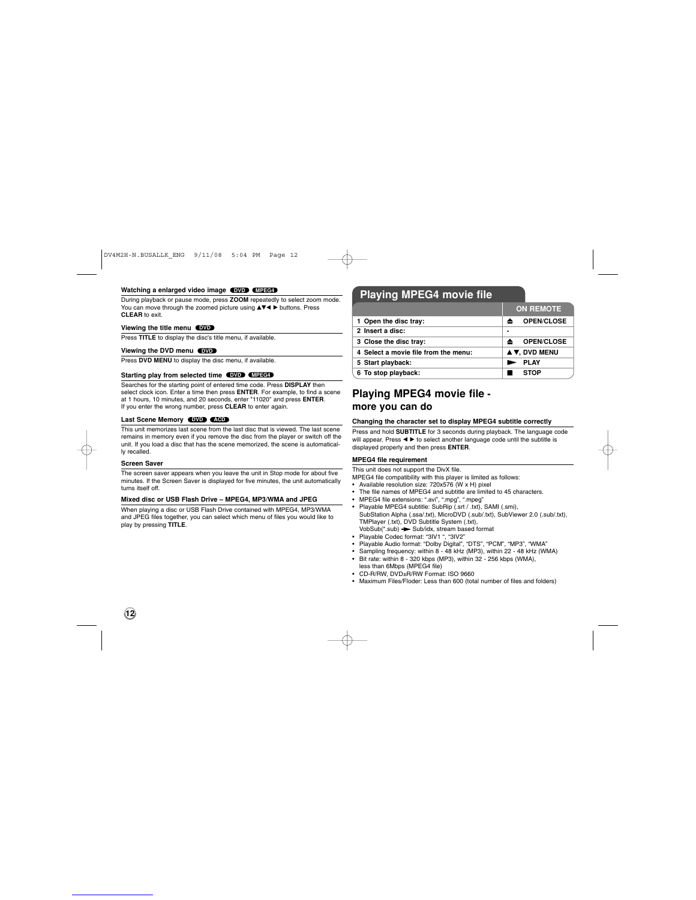#### **Watching a enlarged video image DVD MPEG4**

During playback or pause mode, press ZOOM repeatedly to select zoom mode.<br>You can move through the zoomed picture using ▲▼◀ ▶ buttons. Press **CLEAR** to exit.

#### **Viewing the title menu DVD**

Press **TITLE** to display the disc's title menu, if available.

#### **Viewing the DVD menu DVD**

Press **DVD MENU** to display the disc menu, if available.

#### **Starting play from selected time DVD MPEG4**

Searches for the starting point of entered time code. Press **DISPLAY** then select clock icon. Enter a time then press **ENTER**. For example, to find a scene at 1 hours, 10 minutes, and 20 seconds, enter "11020" and press **ENTER**. If you enter the wrong number, press **CLEAR** to enter again.

### **Last Scene Memory DVD ACD**

This unit memorizes last scene from the last disc that is viewed. The last scene remains in memory even if you remove the disc from the player or switch off the unit. If you load a disc that has the scene memorized, the scene is automatically recalled.

#### **Screen Saver**

The screen saver appears when you leave the unit in Stop mode for about five minutes. If the Screen Saver is displayed for five minutes, the unit automatically turns itself off.

### **Mixed disc or USB Flash Drive – MPEG4, MP3/WMA and JPEG**

When playing a disc or USB Flash Drive contained with MPEG4, MP3/WMA and JPEG files together, you can select which menu of files you would like to play by pressing **TITLE**.

## **Playing MPEG4 movie file**

|                                      | <b>ON REMOTE</b>  |  |  |
|--------------------------------------|-------------------|--|--|
| 1 Open the disc tray:                | <b>OPEN/CLOSE</b> |  |  |
| 2 Insert a disc:                     | ۰                 |  |  |
| 3 Close the disc tray:               | <b>OPEN/CLOSE</b> |  |  |
| 4 Select a movie file from the menu: | A V, DVD MENU     |  |  |
| 5 Start playback:                    | <b>PLAY</b>       |  |  |
| 6 To stop playback:                  | <b>STOP</b>       |  |  |
|                                      |                   |  |  |

## **Playing MPEG4 movie file more you can do**

### **Changing the character set to display MPEG4 subtitle correctly**

Press and hold **SUBTITLE** for 3 seconds during playback. The language code will appear. Press <  $\blacktriangleright$  to select another language code until the subtitle is displayed properly and then press **ENTER**.

### **MPEG4 file requirement**

This unit does not support the DivX file.

- MPEG4 file compatibility with this player is limited as follows: Available resolution size: 720x576 (W x H) pixel
- The file names of MPEG4 and subtitle are limited to 45 characters.
- 
- MPEG4 file extensions: ".avi", ".mpg", ".mpeg" Playable MPEG4 subtitle: SubRip (.srt / .txt), SAMI (.smi), SubStation Alpha (.ssa/.txt), MicroDVD (.sub/.txt), SubViewer 2.0 (.sub/.txt), TMPlayer (.txt), DVD Subtitle System (.txt),
- 
- 
- 
- VobSub(\*.sub) → Sub/idx, stream based format<br>• Playable Codec format: "3lV1 ", "3lV2"<br>• Playable Audio format: "Dolby Digital", "DTS", "PCM", "MP3", "WMA"<br>• Sampling frequency: within 8 48 kHz (MP3), within 22 48 kHz (
	-
- less than 6Mbps (MPEG4 file) CD-R/RW, DVD±R/RW Format: ISO 9660
- Maximum Files/Floder: Less than 600 (total number of files and folders)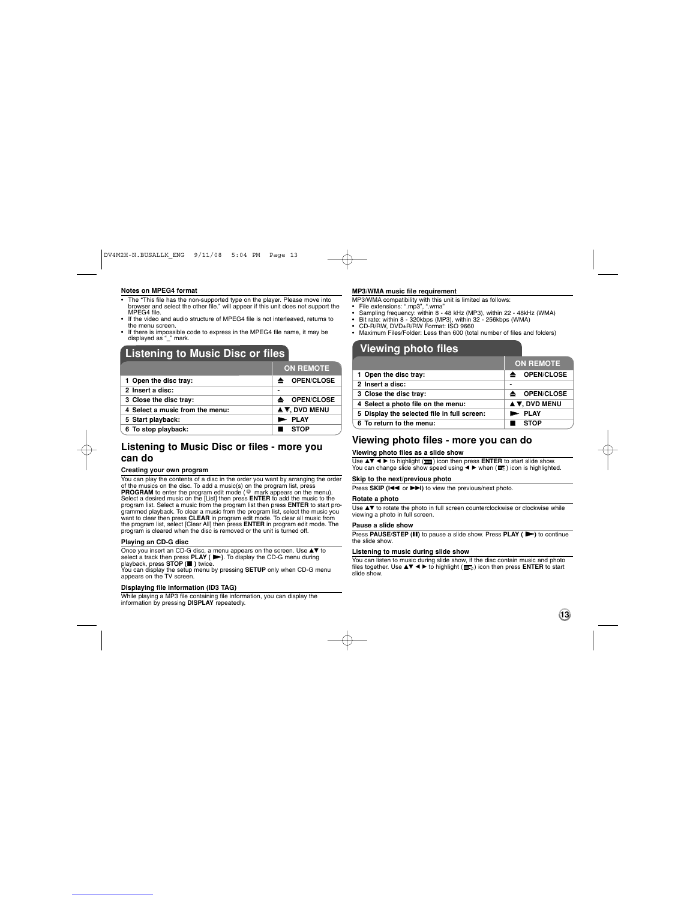### **Notes on MPEG4 format**

- The "This file has the non-supported type on the player. Please move into browser and select the other file." will appear if this unit does not support the MPEG4 file. • If the video and audio structure of MPEG4 file is not interleaved, returns to
- the menu screen. If there is impossible code to express in the MPEG4 file name, it may be displayed as "\_" mark.
- 

### **Listening to Music Disc or files**

|                                 | <b>ON REMOTE</b>                     |
|---------------------------------|--------------------------------------|
| 1 Open the disc tray:           | <b>≜</b> OPEN/CLOSE                  |
| 2 Insert a disc:                | -                                    |
| 3 Close the disc tray:          | $\triangle$ OPEN/CLOSE               |
| 4 Select a music from the menu: | $\blacktriangle$ $\nabla$ . DVD MENU |
| 5 Start playback:               | <b>PLAY</b>                          |
| 6 To stop playback:             | <b>STOP</b>                          |

### **Listening to Music Disc or files - more you can do**

### **Creating your own program**

You can play the contents of a disc in the order you want by arranging the order<br>of the musics on the disc. To add a music(s) on the program list, press<br>**PROGRAM** to enter the program edit mode (<sup>®</sup> mark appears on the men **E**

### **Playing an CD-G disc**

Once you insert an CD-G disc, a menu appears on the screen. Use ▲▼ to<br>select a track then press PLAY ( ➡). To display the CD-G menu during<br>playback, press STOP (■ ) twice.

You can display the setup menu by pressing **SETUP** only when CD-G menu appears on the TV screen.

### **Displaying file information (ID3 TAG)**

While playing a MP3 file containing file information, you can display the information by pressing **DISPLAY** repeatedly.

### **MP3/WMA music file requirement**

- 
- 
- 
- MP3/WMA compatibility with this unit is limited as follows:<br>• File extensions: "..m97", ".wma"<br>• Sampling frequency: within 8 48 kHz (MP3), within 22 48kHz (WMA)<br>• Bit rate: within 8 320kbps (MP3), within 32 256kbp

## **Viewing photo files**

|                                             | <b>ON REMOTE</b>                     |
|---------------------------------------------|--------------------------------------|
| 1 Open the disc tray:                       | <b>OPEN/CLOSE</b><br>▴               |
| 2 Insert a disc:                            | $\blacksquare$                       |
| 3 Close the disc tray:                      | <b>OPEN/CLOSE</b><br>≜               |
| 4 Select a photo file on the menu:          | $\blacktriangle$ $\nabla$ . DVD MENU |
| 5 Display the selected file in full screen: | <b>PLAY</b>                          |
| 6 To return to the menu:                    | <b>STOP</b>                          |

### **Viewing photo files - more you can do**

### **Viewing photo files as a slide show**

Use ▲▼ ◀ ▶ to highlight (<u>π■</u>) icon then press ENTER to start slide show.<br>You can change slide show speed using ◀ ▶ when (**□**。) icon is highlighted.

### **Skip to the next/previous photo**

Press SKIP ( $\leftarrow$  or  $\rightarrow$ **)** to view the previous/next photo.

### **Rotate a photo**

Use ▲▼ to rotate the photo in full screen counterclockwise or clockwise while<br>viewing a photo in full screen.

### **Pause a slide show**

**Press PAUSE/STEP (II)** to pause a slide show. Press PLAY ( $\blacktriangleright$ ) to continue the slide show.

### **Listening to music during slide show**

You can listen to music during slide show, if the disc contain music and photo<br>files together. Use ▲▼ ◀ ▶ to highlight (冨克) icon then press **ENTER** to start<br>slide show.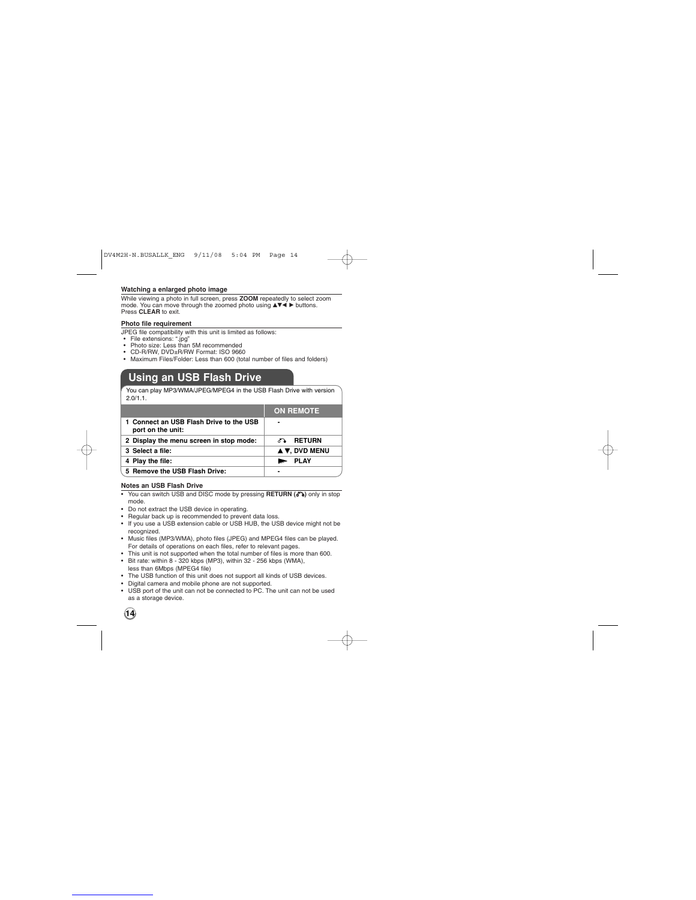### **Watching a enlarged photo image**

While viewing a photo in full screen, press **ZOOM** repeatedly to select zoom<br>mode. You can move through the zoomed photo using **▲▼◀ ▶** buttons.<br>Press **CLEAR** to exit.

### **Photo file requirement**

JPEG file compatibility with this unit is limited as follows:<br>• File extensions: ".jpg"<br>• Photo size: Less than 5M recommended<br>• CD-R/RW, DVD±R/RW Format: ISO 9660<br>• Maximum Files/Folder: Less than 600 (total number of fi

- 
- 
- 

## **Using an USB Flash Drive**

You can play MP3/WMA/JPEG/MPEG4 in the USB Flash Drive with version  $2.0/1.1$ .

|                                                              | <b>ON REMOTE</b> |
|--------------------------------------------------------------|------------------|
| 1 Connect an USB Flash Drive to the USB<br>port on the unit: |                  |
| 2 Display the menu screen in stop mode:                      | <b>ு RETURN</b>  |
| 3 Select a file:                                             | A V, DVD MENU    |
| 4 Play the file:                                             | <b>E</b> PLAY    |
| 5 Remove the USB Flash Drive:                                |                  |

**Notes an USB Flash Drive**

- You can switch USB and DISC mode by pressing RETURN ( $\delta$ ) only in stop
- 
- 
- mode.<br>• Do not extract the USB device in operating.<br>• Regular back up is recommended to prevent data loss.<br>• If you use a USB extension cable or USB HUB, the USB device might not be<br>recognized.
- 
- Music files (MP3/WMA), photo files (JPEG) and MPEG4 files can be played.<br>For details of operations on each files, refer to relevant pages.<br>• This unit is not supported when the total number of files is more than 600.<br>• B
- less than 6Mbps (MPEG4 file) The USB function of this unit does not support all kinds of USB devices.
- 
- Digital camera and mobile phone are not supported. USB port of the unit can not be connected to PC. The unit can not be used as a storage device.

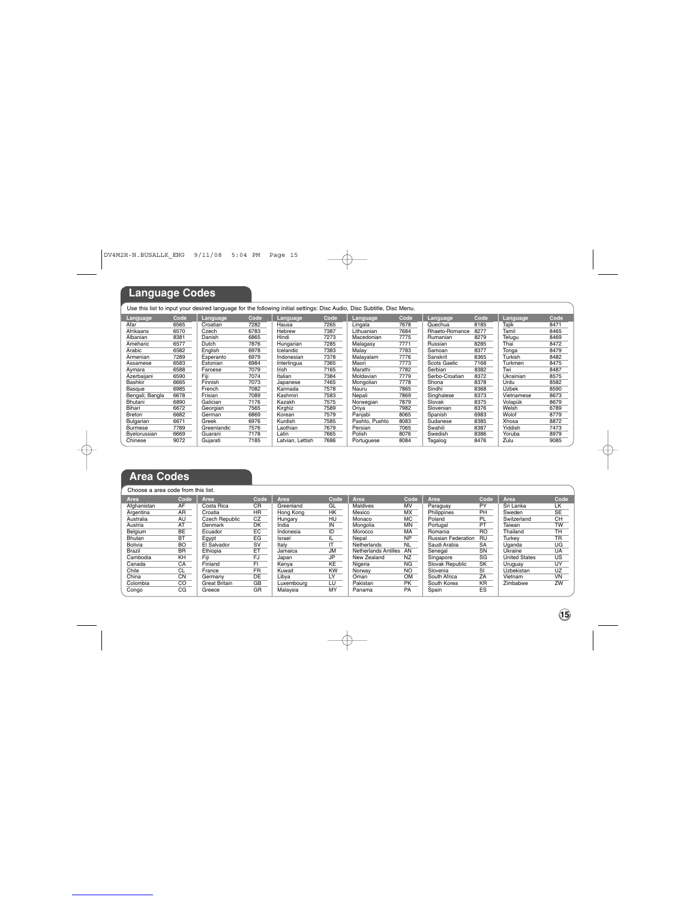# **Language Codes**

### Use this list to input your desired language for the following initial settings: Disc Audio, Disc Subtitle, Disc Menu.

| Language,       | Code | Language    | Code | Language         | Code | Language       | Code | Language,      | Code | Language     | Code |
|-----------------|------|-------------|------|------------------|------|----------------|------|----------------|------|--------------|------|
| Afar            | 6565 | Croatian    | 7282 | Hausa            | 7265 | Lingala        | 7678 | Quechua        | 8185 | Taiik        | 8471 |
| Afrikaans       | 6570 | Czech       | 6783 | Hebrew           | 7387 | Lithuanian     | 7684 | Rhaeto-Romance | 8277 | Tamil        | 8465 |
| Albanian        | 8381 | Danish      | 6865 | Hindi            | 7273 | Macedonian     | 7775 | Rumanian       | 8279 | Telugu       | 8469 |
| Ameharic        | 6577 | Dutch       | 7876 | Hungarian        | 7285 | Malagasy       | 7771 | Russian        | 8285 | Thai         | 8472 |
| Arabic          | 6582 | English     | 6978 | Icelandic        | 7383 | Malav          | 7783 | Samoan         | 8377 | Tonga        | 8479 |
| Armenian        | 7289 | Esperanto   | 6979 | Indonesian       | 7378 | Malavalam      | 7776 | Sanskrit       | 8365 | Turkish      | 8482 |
| Assamese        | 6583 | Estonian    | 6984 | Interlingua      | 7365 | Maori          | 7773 | Scots Gaelic   | 7168 | Turkmen      | 8475 |
| Avmara          | 6588 | Faroese     | 7079 | Irish            | 7165 | Marathi        | 7782 | Serbian        | 8382 | Twi          | 8487 |
| Azerbaijani     | 6590 | Fiii        | 7074 | Italian          | 7384 | Moldavian      | 7779 | Serbo-Croatian | 8372 | Ukrainian    | 8575 |
| Bashkir         | 6665 | Finnish     | 7073 | Japanese         | 7465 | Mongolian      | 7778 | Shona          | 8378 | Urdu         | 8582 |
| Basque          | 6985 | French      | 7082 | Kannada          | 7578 | Nauru          | 7865 | Sindhi         | 8368 | <b>Uzbek</b> | 8590 |
| Bengali; Bangla | 6678 | Frisian     | 7089 | Kashmiri         | 7583 | Nepali         | 7869 | Singhalese     | 8373 | Vietnamese   | 8673 |
| Bhutani         | 6890 | Galician    | 7176 | Kazakh           | 7575 | Norwegian      | 7879 | Slovak         | 8375 | Volapük      | 8679 |
| Bihari          | 6672 | Georgian    | 7565 | Kirghiz          | 7589 | Oriva          | 7982 | Slovenian      | 8376 | Welsh        | 6789 |
| Breton          | 6682 | German      | 6869 | Korean           | 7579 | Paniabi        | 8065 | Spanish        | 6983 | Wolof        | 8779 |
| Bulgarian       | 6671 | Greek       | 6976 | Kurdish          | 7585 | Pashto, Pushto | 8083 | Sudanese       | 8385 | Xhosa        | 8872 |
| Burmese         | 7789 | Greenlandic | 7576 | Laothian         | 7679 | Persian        | 7065 | Swahili        | 8387 | Yiddish      | 7473 |
| Byelorussian    | 6669 | Guarani     | 7178 | Latin            | 7665 | Polish         | 8076 | Swedish        | 8386 | Yoruba       | 8979 |
| Chinese         | 9072 | Guiarati    | 7185 | Latvian, Lettish | 7686 | Portuguese     | 8084 | Tagalog        | 8476 | Zulu         | 9085 |

 $\oplus$ 

## **Area Codes**

Choose a area code from this list. Area<br>Argentina AR<br>Australia AR<br>Australia AU<br>Austria BD<br>Belgium<br>Bhutan<br>Brazil<br>Brazil BR<br>Cambodia CA<br>Cambodia CO<br>China CN<br>China CO<br>Colombia CO<br>Colombia CO<br>Colombia CO Area Code<br>Costa Rica CR<br>Croatia HR<br>Czech Republic CZ Denmark DK Ecuador EC Croatia<br>Croatia<br>Denmark<br>Denmark<br>Demark<br>Denmark<br>Ethiopia<br>Ethiopia<br>Ethiopia<br>Ethiopia<br>Ethiopia<br>Funce<br>Permary<br>Grace Respublic Funce<br>Grace Respublic Funce<br>Funce<br>Grace Respublic Funce<br>Grace Respublic Funce<br>Grace Respublic Funce El Salvador SV<br>Ethiopia ET<br>Fiji FJ<br>France FR<br>Germany DE<br>Greece GR<br>Greece GR Area Code<br><del>Gree</del>nland GL<br>Hungary HU<br>India IN<br>Indonesia ID<br>Indonesia ID Israel IL<br>Italy IT<br>Jamaica JM Japan JP Kenya KE Kuwait KW<br>Libya LY Luxembourg LU Malaysia MY **Area Code** Maldives MV Mexico MX Monaco MC Mexico MX<br>
Monaco MC<br>
Mongolia MN<br>
Morocco MA Morocco MA<br>Netherlands NL<br>Netherlands Antilles AN<br>New Zealand NZ<br>Nigeria<br>Norway NO<br>Oman OM<br>Panama PA<br>Panama PA **Paraguay<br>
Philippines<br>
Poland<br>
Portugal<br>
Romania<br>
Ruggian Fod** Paraguay PY<br>Polland PL<br>Portugal PT<br>Romania RO<br>Russian Federation RU<br>Sussian Federation RI<br>Saudi Arabia SA<br>Singapore SG<br>Singapore SG<br>Slovak Republic SK<br>Slovak Ra<br>Slovak Ra South Africa ZA South Korea KR Spain ES **Area Code** Sri Lanka LK Sweden SE<br>Switzerland CH Arca<br>Sweden UK<br>Sweden UK<br>Taiwan TW<br>Taiwan TW<br>Turkey TR<br>Uyanda<br>Uyanda UG<br>Uyanda<br>Uyanda UG<br>Uyangay UK<br>Uyangay UK<br>Uyangay UK<br>Uyangay UK<br>Ukahan UG<br>Ukahan UG<br>Ukahan UG<br>Ukahan UK<br>Ukahan UK<br>Ukahan UK Thailand TH<br>Turkey TR<br>Uganda UG<br>Ukraine UA<br>Uruguay UY<br>Uzbekistan UZ<br>Uzbekistan UZ<br>Vietnam VN<br>Zimbabwe ZW

 $\rightarrow$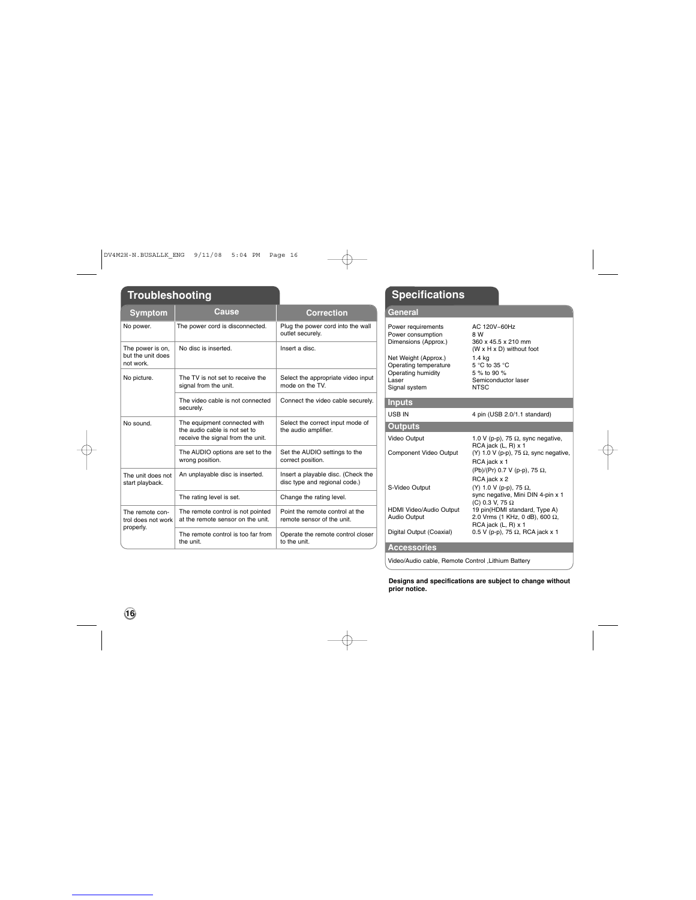# **Troubleshooting Specifications**

| Symptom                                            | Cause                                                                                              | Correction                                                                        | General                                 |
|----------------------------------------------------|----------------------------------------------------------------------------------------------------|-----------------------------------------------------------------------------------|-----------------------------------------|
| No power.                                          | The power cord is disconnected.                                                                    | Plug the power cord into the wall<br>Power requ<br>outlet securely.<br>Power con: |                                         |
| The power is on.<br>but the unit does<br>not work. | No disc is inserted.                                                                               | Insert a disc.                                                                    | Dimension:<br>Net Weight<br>Operating 1 |
| No picture.                                        | The TV is not set to receive the<br>signal from the unit.                                          | Select the appropriate video input<br>mode on the TV.                             | Operating I<br>Laser<br>Signal syst     |
|                                                    | The video cable is not connected<br>securely.                                                      | Connect the video cable securely.                                                 | <b>Inputs</b><br>USB IN                 |
| No sound.                                          | The equipment connected with<br>the audio cable is not set to<br>receive the signal from the unit. | Select the correct input mode of<br>the audio amplifier.                          | Outputs<br>Video Outn                   |
|                                                    | The AUDIO options are set to the<br>wrong position.                                                | Set the AUDIO settings to the<br>correct position.                                | Componen                                |
| The unit does not<br>start playback.               | An unplayable disc is inserted.                                                                    | Insert a playable disc. (Check the<br>disc type and regional code.)               | S-Video Or                              |
|                                                    | The rating level is set.                                                                           | Change the rating level.                                                          |                                         |
| The remote con-<br>trol does not work              | The remote control is not pointed<br>at the remote sensor on the unit.                             | Point the remote control at the<br>remote sensor of the unit.                     | <b>HDMI Vide</b><br>Audio Outp          |
| properly.                                          | The remote control is too far from<br>the unit.                                                    | Operate the remote control closer<br>to the unit.                                 | Digital Out<br>$\mathbf{A}$             |
|                                                    |                                                                                                    |                                                                                   |                                         |

 $\rightarrow$ 

 $\overline{\phantom{a}}$ 

| астеган                                                                                       |                                                                                                                    |
|-----------------------------------------------------------------------------------------------|--------------------------------------------------------------------------------------------------------------------|
| Power requirements<br>Power consumption<br>Dimensions (Approx.)                               | AC 120V~60Hz<br>8 W<br>360 x 45.5 x 210 mm                                                                         |
| Net Weight (Approx.)<br>Operating temperature<br>Operating humidity<br>Laser<br>Signal system | (W x H x D) without foot<br>1.4 <sub>k</sub><br>5 °C to 35 °C<br>5 % to 90 %<br>Semiconductor laser<br><b>NTSC</b> |
| <b>Inputs</b>                                                                                 |                                                                                                                    |
| USB IN                                                                                        | 4 pin (USB 2.0/1.1 standard)                                                                                       |
| <b>Outputs</b>                                                                                |                                                                                                                    |
| Video Output<br>Component Video Output                                                        | 1.0 V (p-p), 75 $\Omega$ , sync negative,<br>RCA jack (L, R) x 1<br>(Y) 1.0 V (p-p), 75 $\Omega$ , sync negative,  |
|                                                                                               | RCA jack x 1<br>(Pb)/(Pr) 0.7 V (p-p), 75 Ω,<br>RCA jack x 2                                                       |
| S-Video Output                                                                                | (Y) 1.0 V (p-p), 75 Ω,<br>sync negative, Mini DIN 4-pin x 1<br>(C) 0.3 V, 75 Ω                                     |
| HDMI Video/Audio Output<br>Audio Output                                                       | 19 pin(HDMI standard, Type A)<br>2.0 Vrms (1 KHz, 0 dB), 600 Ω,<br>RCA jack (L, R) x 1                             |
| Digital Output (Coaxial)                                                                      | 0.5 V (p-p), 75 $\Omega$ , RCA jack x 1                                                                            |
| <b>Accessories</b>                                                                            |                                                                                                                    |

Video/Audio cable, Remote Control ,Lithium Battery

**Designs and specifications are subject to change without prior notice.**